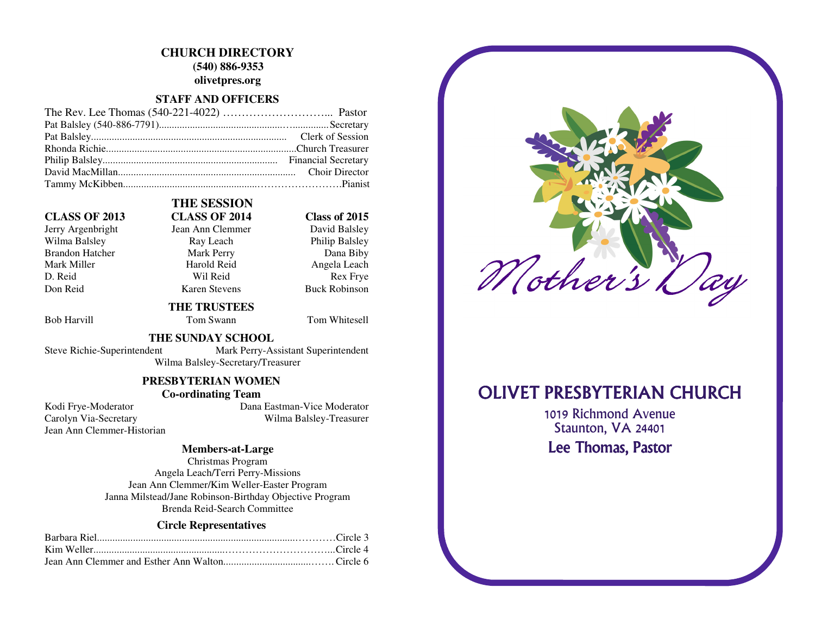# **CHURCH DIRECTORY**

 **(540) 886-9353** 

**olivetpres.org** 

#### **STAFF AND OFFICERS**

#### **CLASS OF 2013 CLASS OF 2014 Class of 2015**

Jerry Argenbright Jean Ann Clemmer Wilma Balsley **Ray Leach** Philip Balsley Brandon Hatcher Mark Perry Dana Biby Mark Miller **Mark Angela Leach** Harold Reid **Angela Leach** D. Reid Rex Frye Don Reid Karen Stevens Buck Robinson

# **THE SESSION**

David Balsley

Bob Harvill **Tom Swann** Tom Whitesell

#### **THE SUNDAY SCHOOL**

 **THE TRUSTEES** 

 Steve Richie-Superintendent Mark Perry-Assistant Superintendent Wilma Balsley-Secretary/Treasurer

### **PRESBYTERIAN WOMEN**

### **Co-ordinating Team**

Jean Ann Clemmer-Historian

 Kodi Frye-Moderator Dana Eastman-Vice Moderator Carolyn Via-Secretary Wilma Balsley-Treasurer

#### **Members-at-Large**

Christmas Program Angela Leach/Terri Perry-Missions Jean Ann Clemmer/Kim Weller-Easter Program Janna Milstead/Jane Robinson-Birthday Objective Program Brenda Reid-Search Committee

#### **Circle Representatives**



# **OLIVET PRESBYTERIAN CHURCH**

1019 Richmond Avenue Staunton, VA 24401 Lee Thomas, Pastor